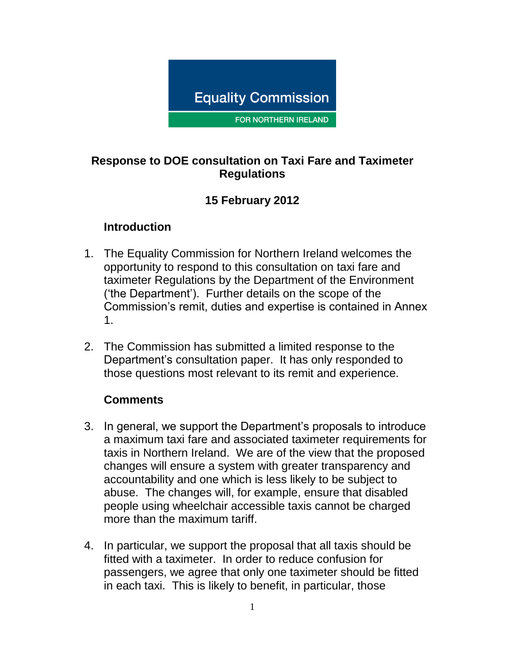

FOR NORTHERN IRELAND

### **Response to DOE consultation on Taxi Fare and Taximeter Regulations**

## **15 February 2012**

#### **Introduction**

- 1. The Equality Commission for Northern Ireland welcomes the opportunity to respond to this consultation on taxi fare and taximeter Regulations by the Department of the Environment ('the Department'). Further details on the scope of the Commission's remit, duties and expertise is contained in Annex 1.
- 2. The Commission has submitted a limited response to the Department's consultation paper. It has only responded to those questions most relevant to its remit and experience.

#### **Comments**

- 3. In general, we support the Department's proposals to introduce a maximum taxi fare and associated taximeter requirements for taxis in Northern Ireland. We are of the view that the proposed changes will ensure a system with greater transparency and accountability and one which is less likely to be subject to abuse. The changes will, for example, ensure that disabled people using wheelchair accessible taxis cannot be charged more than the maximum tariff.
- 4. In particular, we support the proposal that all taxis should be fitted with a taximeter. In order to reduce confusion for passengers, we agree that only one taximeter should be fitted in each taxi. This is likely to benefit, in particular, those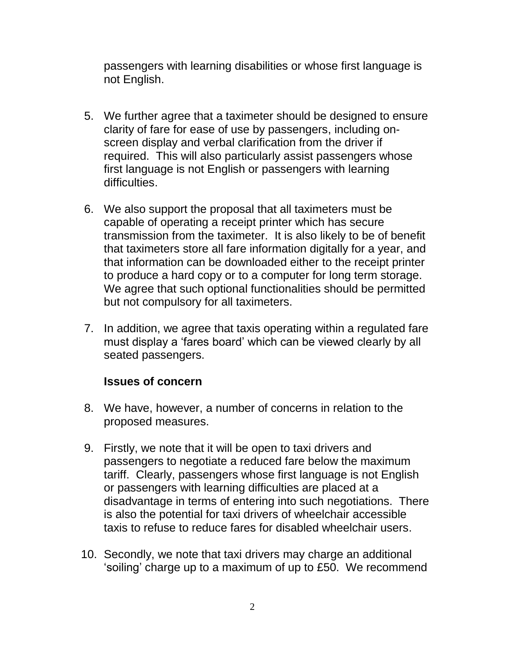passengers with learning disabilities or whose first language is not English.

- 5. We further agree that a taximeter should be designed to ensure clarity of fare for ease of use by passengers, including onscreen display and verbal clarification from the driver if required. This will also particularly assist passengers whose first language is not English or passengers with learning difficulties.
- 6. We also support the proposal that all taximeters must be capable of operating a receipt printer which has secure transmission from the taximeter. It is also likely to be of benefit that taximeters store all fare information digitally for a year, and that information can be downloaded either to the receipt printer to produce a hard copy or to a computer for long term storage. We agree that such optional functionalities should be permitted but not compulsory for all taximeters.
- 7. In addition, we agree that taxis operating within a regulated fare must display a 'fares board' which can be viewed clearly by all seated passengers.

#### **Issues of concern**

- 8. We have, however, a number of concerns in relation to the proposed measures.
- 9. Firstly, we note that it will be open to taxi drivers and passengers to negotiate a reduced fare below the maximum tariff. Clearly, passengers whose first language is not English or passengers with learning difficulties are placed at a disadvantage in terms of entering into such negotiations. There is also the potential for taxi drivers of wheelchair accessible taxis to refuse to reduce fares for disabled wheelchair users.
- 10. Secondly, we note that taxi drivers may charge an additional 'soiling' charge up to a maximum of up to £50. We recommend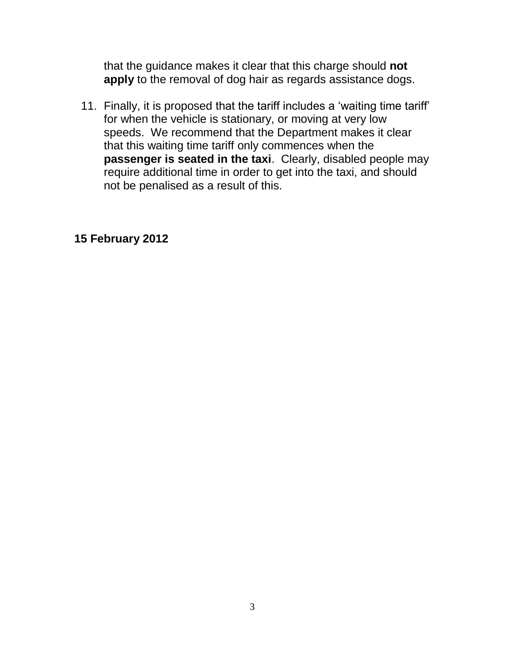that the guidance makes it clear that this charge should **not apply** to the removal of dog hair as regards assistance dogs.

11. Finally, it is proposed that the tariff includes a 'waiting time tariff' for when the vehicle is stationary, or moving at very low speeds. We recommend that the Department makes it clear that this waiting time tariff only commences when the **passenger is seated in the taxi**. Clearly, disabled people may require additional time in order to get into the taxi, and should not be penalised as a result of this.

#### **15 February 2012**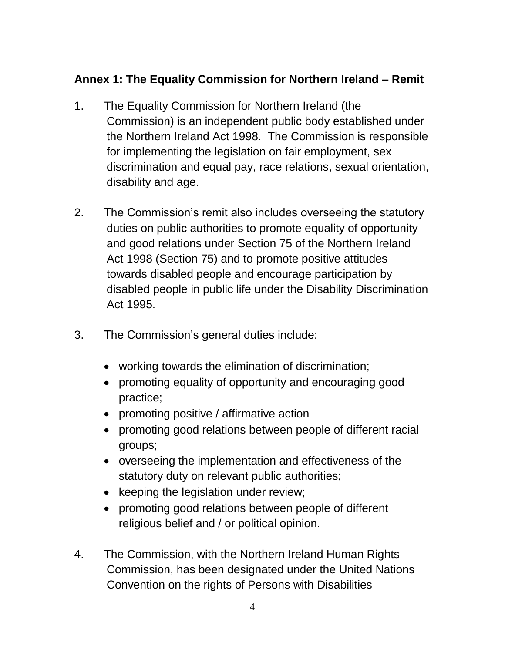# **Annex 1: The Equality Commission for Northern Ireland – Remit**

- 1. The Equality Commission for Northern Ireland (the Commission) is an independent public body established under the Northern Ireland Act 1998. The Commission is responsible for implementing the legislation on fair employment, sex discrimination and equal pay, race relations, sexual orientation, disability and age.
- 2. The Commission's remit also includes overseeing the statutory duties on public authorities to promote equality of opportunity and good relations under Section 75 of the Northern Ireland Act 1998 (Section 75) and to promote positive attitudes towards disabled people and encourage participation by disabled people in public life under the Disability Discrimination Act 1995.
- 3. The Commission's general duties include:
	- working towards the elimination of discrimination;
	- promoting equality of opportunity and encouraging good practice;
	- promoting positive / affirmative action
	- promoting good relations between people of different racial groups;
	- overseeing the implementation and effectiveness of the statutory duty on relevant public authorities;
	- keeping the legislation under review;
	- promoting good relations between people of different religious belief and / or political opinion.
- 4. The Commission, with the Northern Ireland Human Rights Commission, has been designated under the United Nations Convention on the rights of Persons with Disabilities